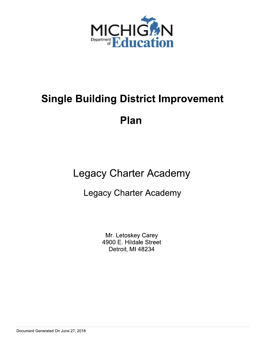

# **Single Building District Improvement**

Plan

## **Legacy Charter Academy**

## **Legacy Charter Academy**

Mr. Letoskey Carey 4900 E. Hildale Street Detroit, MI 48234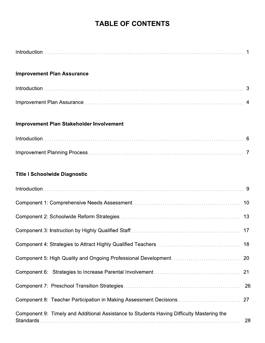## **TABLE OF CONTENTS**

| <b>Improvement Plan Assurance</b>                                                         |    |
|-------------------------------------------------------------------------------------------|----|
|                                                                                           |    |
|                                                                                           |    |
| <b>Improvement Plan Stakeholder Involvement</b>                                           |    |
|                                                                                           |    |
|                                                                                           |    |
| <b>Title I Schoolwide Diagnostic</b>                                                      |    |
|                                                                                           |    |
|                                                                                           |    |
|                                                                                           | 13 |
|                                                                                           | 17 |
|                                                                                           |    |
|                                                                                           | 20 |
|                                                                                           | 21 |
|                                                                                           | 26 |
| Component 8: Teacher Participation in Making Assessment Decisions                         | 27 |
| Component 9: Timely and Additional Assistance to Students Having Difficulty Mastering the | 28 |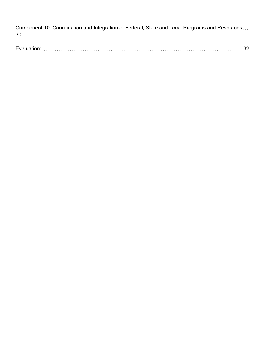Component 10: Coordination and Integration of Federal, State and Local Programs and Resources... 30

| E |
|---|
|---|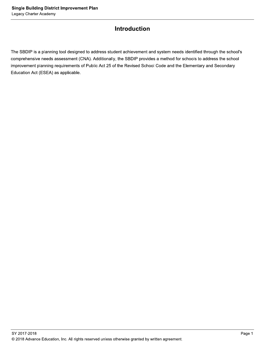## **Introduction**

The SBDIP is a planning tool designed to address student achievement and system needs identified through the school's comprehensive needs assessment (CNA). Additionally, the SBDIP provides a method for schools to address the school improvement planning requirements of Public Act 25 of the Revised School Code and the Elementary and Secondary Education Act (ESEA) as applicable.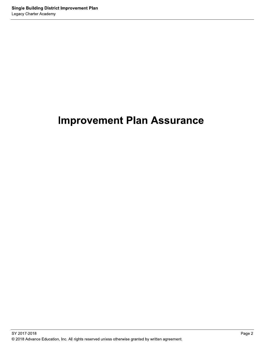## **Improvement Plan Assurance**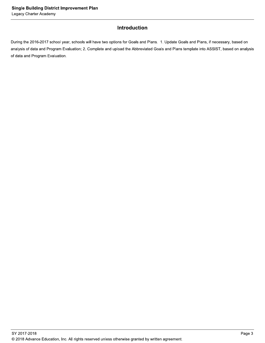## Introduction

During the 2016-2017 school year, schools will have two options for Goals and Plans. 1. Update Goals and Plans, if necessary, based on analysis of data and Program Evaluation; 2. Complete and upload the Abbreviated Goals and Plans template into ASSIST, based on analysis of data and Program Evaluation.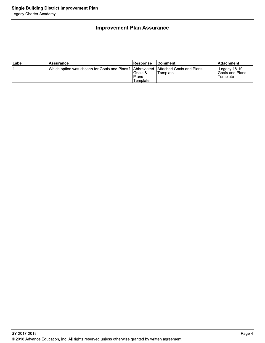## **Improvement Plan Assurance**

| ∣Label | Assurance                                                                            | <b>Response</b>              | ∣Comment∶ | ∣Attachment                                  |
|--------|--------------------------------------------------------------------------------------|------------------------------|-----------|----------------------------------------------|
|        | IWhich option was chosen for Goals and Plans? IAbbreviated IAttached Goals and Plans | Goals &<br>Plans<br>Template | 'Template | Legacy 18-19<br>lGoals and Plans<br>Template |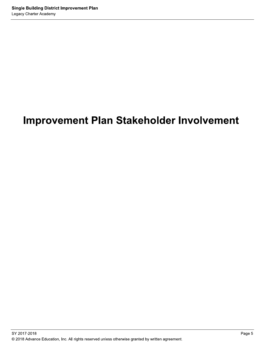## **Improvement Plan Stakeholder Involvement**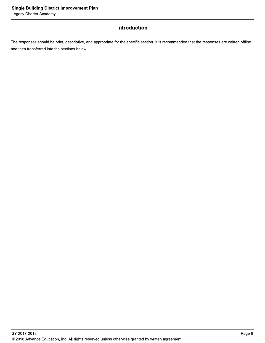## Introduction

The responses should be brief, descriptive, and appropriate for the specific section. It is recommended that the responses are written offline and then transferred into the sections below.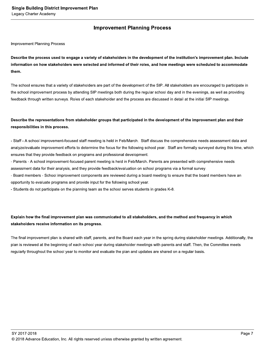## **Improvement Planning Process**

**Improvement Planning Process** 

Describe the process used to engage a variety of stakeholders in the development of the institution's improvement plan. Include information on how stakeholders were selected and informed of their roles, and how meetings were scheduled to accommodate them.

The school ensures that a variety of stakeholders are part of the development of the SIP. All stakeholders are encouraged to participate in the school improvement process by attending SIP meetings both during the regular school day and in the evenings, as well as providing feedback through written surveys. Roles of each stakeholder and the process are discussed in detail at the initial SIP meetings.

## Describe the representations from stakeholder groups that participated in the development of the improvement plan and their responsibilities in this process.

- Staff - A school improvement-focused staff meeting is held in Feb/March. Staff discuss the comprehensive needs assessment data and analyze/evaluate improvement efforts to determine the focus for the following school year. Staff are formally surveyed during this time, which ensures that they provide feedback on programs and professional development.

- Parents - A school improvement-focused parent meeting is held in Feb/March. Parents are presented with comprehensive needs assessment data for their analysis, and they provide feedback/evaluation on school programs via a formal survey.

- Board members - School improvement components are reviewed during a board meeting to ensure that the board members have an opportunity to evaluate programs and provide input for the following school year.

- Students do not participate on the planning team as the school serves students in grades K-8.

## Explain how the final improvement plan was communicated to all stakeholders, and the method and frequency in which stakeholders receive information on its progress.

The final improvement plan is shared with staff, parents, and the Board each year in the spring during stakeholder meetings. Additionally, the plan is reviewed at the beginning of each school year during stakeholder meetings with parents and staff. Then, the Committee meets regularly throughout the school year to monitor and evaluate the plan and updates are shared on a regular basis.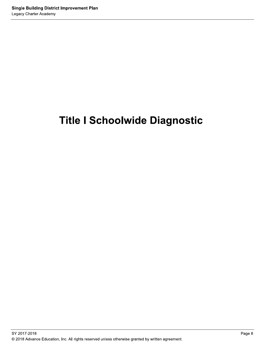## **Title I Schoolwide Diagnostic**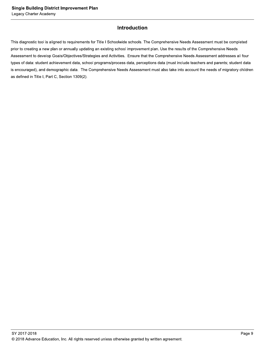## **Introduction**

This diagnostic tool is aligned to requirements for Title I Schoolwide schools. The Comprehensive Needs Assessment must be completed prior to creating a new plan or annually updating an existing school improvement plan. Use the results of the Comprehensive Needs Assessment to develop Goals/Objectives/Strategies and Activities. Ensure that the Comprehensive Needs Assessment addresses all four types of data: student achievement data, school programs/process data, perceptions data (must include teachers and parents; student data is encouraged), and demographic data. The Comprehensive Needs Assessment must also take into account the needs of migratory children as defined in Title I, Part C, Section 1309(2).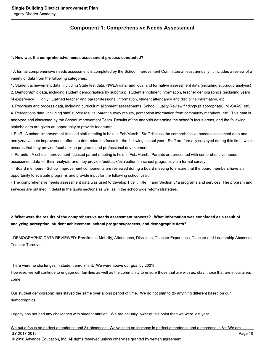## **Component 1: Comprehensive Needs Assessment**

#### 1. How was the comprehensive needs assessment process conducted?

- A formal comprehensive needs assessment is completed by the School Improvement Committee at least annually. It includes a review of a variety of data from the following categories:

1. Student achievement data, including State test data, NWEA data, and local and formative assessment data (including subgroup analysis) 2. Demographic data, including student demographics by subgroup, student enrollment information, teacher demographics (including years of experience), Highly Qualified teacher and paraprofessional information, student attendance and discipline information, etc.

3. Programs and process data, including curriculum alignment assessments, School Quality Review findings (if appropriate), MI-SAAS, etc. 4. Perceptions data, including staff survey results, parent survey results, perception information from community members, etc. This data is analyzed and discussed by the School Improvement Team. Results of the analysis determine the school's focus areas, and the following stakeholders are given an opportunity to provide feedback:

i. Staff - A school improvement-focused staff meeting is held in Feb/March. Staff discuss the comprehensive needs assessment data and analyze/evaluate improvement efforts to determine the focus for the following school year. Staff are formally surveyed during this time, which ensures that they provide feedback on programs and professional development.

ii. Parents - A school improvement-focused parent meeting is held in Feb/March. Parents are presented with comprehensive needs assessment data for their analysis, and they provide feedback/evaluation on school programs via a formal survey.

iii. Board members - School improvement components are reviewed during a board meeting to ensure that the board members have an opportunity to evaluate programs and provide input for the following school year.

- The comprehensive needs assessment data was used to develop Title I, Title II, and Section 31a programs and services. The program and services are outlined in detail in the goals sections as well as in the schoolwide reform strategies.

## 2. What were the results of the comprehensive needs assessment process? What information was concluded as a result of analyzing perception, student achievement, school programs/process, and demographic data?

- DEMOGRAPHIC DATA REVIEWED: Enrollment, Mobility, Attendance, Discipline, Teacher Experience, Teacher and Leadership Absences, **Teacher Turnover** 

There were no challenges in student enrollment. We were above our goal by 200%. However, we will continue to engage our families as well as the community to ensure those that are with us, stay, those that are in our area, come.

Our student demographic has stayed the same over a long period of time. We do not plan to do anything different based on our demographics.

Legacy has not had any challenges with student attrition. We are actually lower at this point than we were last year.

We put a focus on perfect attendance and 8+ absences. We've seen an increase in perfect attendance and a decrease in 8+. We are SY 2017-2018 Page 10 © 2018 Advance Education, Inc. All rights reserved unless otherwise granted by written agreement.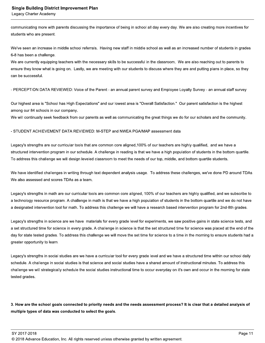communicating more with parents discussing the importance of being in school all day every day. We are also creating more incentives for students who are present.

We've seen an increase in middle school referrals. Having new staff in middle school as well as an increased number of students in grades 6-8 has been a challenge.

We are currently equipping teachers with the necessary skills to be successful in the classroom. We are also reaching out to parents to ensure they know what is going on. Lastly, we are meeting with our students to discuss where they are and putting plans in place, so they can be successful.

- PERCEPTION DATA REVIEWED: Voice of the Parent - an annual parent survey and Employee Loyalty Survey - an annual staff survey

Our highest area is "School has High Expectations" and our lowest area is "Overall Satisfaction." Our parent satisfaction is the highest among our 84 schools in our company.

We will continually seek feedback from our parents as well as communicating the great things we do for our scholars and the community.

#### - STUDENT ACHIEVEMENT DATA REVIEWED: M-STEP and NWEA PGA/MAP assessment data

Legacy's strengths are our curricular tools that are common core aligned, 100% of our teachers are highly qualified, and we have a structured intervention program in our schedule. A challenge in reading is that we have a high population of students in the bottom quartile. To address this challenge we will design leveled classroom to meet the needs of our top, middle, and bottom quartile students.

We have identified challenges in writing through text dependent analysis usage. To address these challenges, we've done PD around TDAs. We also assessed and scores TDAs as a team.

Legacy's strengths in math are our curricular tools are common core aligned, 100% of our teachers are highly qualified, and we subscribe to a technology resource program. A challenge in math is that we have a high population of students in the bottom quartile and we do not have a designated intervention tool for math. To address this challenge we will have a research based intervention program for 2nd-8th grades.

Legacy's strengths in science are we have materials for every grade level for experiments, we saw positive gains in state science tests, and a set structured time for science in every grade. A challenge in science is that the set structured time for science was placed at the end of the day for state tested grades. To address this challenge we will move the set time for science to a time in the morning to ensure students had a greater opportunity to learn.

Legacy's strengths in social studies are we have a curricular tool for every grade level and we have a structured time within our school daily schedule. A challenge in social studies is that science and social studies have a shared amount of instructional minutes. To address this challenge we will strategically schedule the social studies instructional time to occur everyday on it's own and occur in the morning for state tested grades.

3. How are the school goals connected to priority needs and the needs assessment process? It is clear that a detailed analysis of multiple types of data was conducted to select the goals.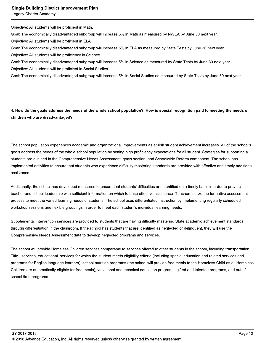#### **Single Building District Improvement Plan**

Legacy Charter Academy

Objective: All students will be proficient in Math.

Goal: The economically disadvantaged subgroup will increase 5% in Math as measured by NWEA by June 30 next year.

Objective: All students will be proficient in ELA.

Goal: The economically disadvantaged subgroup will increase 5% in ELA as measured by State Tests by June 30 next year.

Objective: All students will be proficiency in Science.

Goal: The economically disadvantaged subgroup will increase 5% in Science as measured by State Tests by June 30 next year.

Objective: All students will be proficient in Social Studies.

Goal: The economically disadvantaged subgroup will increase 5% in Social Studies as measured by State Tests by June 30 next year.

4. How do the goals address the needs of the whole school population? How is special recognition paid to meeting the needs of children who are disadvantaged?

The school population experiences academic and organizational improvements as at-risk student achievement increases. All of the school's goals address the needs of the whole school population by setting high proficiency expectations for all student. Strategies for supporting all students are outlined in the Comprehensive Needs Assessment, goals section, and Schoolwide Reform component. The school has implemented activities to ensure that students who experience difficulty mastering standards are provided with effective and timely additional assistance.

Additionally, the school has developed measures to ensure that students' difficulties are identified on a timely basis in order to provide teacher and school leadership with sufficient information on which to base effective assistance. Teachers utilize the formative assessment process to meet the varied learning needs of students. The school uses differentiated instruction by implementing regularly scheduled workshop sessions and flexible groupings in order to meet each student's individual learning needs.

Supplemental intervention services are provided to students that are having difficulty mastering State academic achievement standards through differentiation in the classroom. If the school has students that are identified as neglected or delinguent, they will use the Comprehensive Needs Assessment data to develop neglected programs and services.

The school will provide Homeless Children services comparable to services offered to other students in the school, including transportation, Title I services, educational services for which the student meets eligibility criteria (including special education and related services and programs for English language learners), school nutrition programs (the school will provide free meals to the Homeless Child as all Homeless Children are automatically eligible for free meals), vocational and technical education programs, gifted and talented programs, and out of school time programs.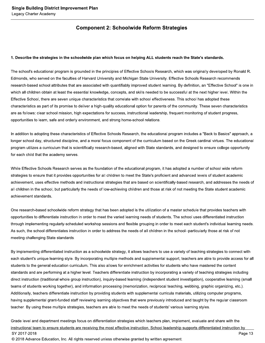## **Component 2: Schoolwide Reform Strategies**

#### 1. Describe the strategies in the schoolwide plan which focus on helping ALL students reach the State's standards.

The school's educational program is grounded in the principles of Effective Schools Research, which was originally developed by Ronald R. Edmonds, who served on the faculties of Harvard University and Michigan State University. Effective Schools Research recommends research-based school attributes that are associated with quantifiably improved student learning. By definition, an "Effective School" is one in which all children obtain at least the essential knowledge, concepts, and skills needed to be successful at the next higher level. Within the Effective School, there are seven unique characteristics that correlate with school effectiveness. This school has adopted these characteristics as part of its promise to deliver a high-quality educational option for parents of the community. These seven characteristics are as follows: clear school mission, high expectations for success, instructional leadership, frequent monitoring of student progress, opportunities to learn, safe and orderly environment, and strong home-school relations.

In addition to adopting these characteristics of Effective Schools Research, the educational program includes a "Back to Basics" approach, a longer school day, structured discipline, and a moral focus component of the curriculum based on the Greek cardinal virtues. The educational program utilizes a curriculum that is scientifically research-based, aligned with State standards, and designed to ensure college opportunity for each child that the academy serves.

While Effective Schools Research serves as the foundation of the educational program, it has adopted a number of school wide reform strategies to ensure that it provides opportunities for all children to meet the State's proficient and advanced levels of student academic achievement, uses effective methods and instructional strategies that are based on scientifically-based research, and addresses the needs of all children in the school, but particularly the needs of low-achieving children and those at risk of not meeting the State student academic achievement standards.

One research-based schoolwide reform strategy that has been adopted is the utilization of a master schedule that provides teachers with opportunities to differentiate instruction in order to meet the varied learning needs of students. The school uses differentiated instruction through implementing regularly-scheduled workshop sessions and flexible grouping in order to meet each student's individual learning needs. As such, the school differentiates instruction in order to address the needs of all children in the school--particularly those at risk of not meeting challenging State standards.

By implementing differentiated instruction as a schoolwide strategy, it allows teachers to use a variety of teaching strategies to connect with each student's unique learning style. By incorporating multiple methods and supplemental support, teachers are able to provide access for all students to the general education curriculum. This also allows for enrichment activities for students who have mastered the content standards and are performing at a higher level. Teachers differentiate instruction by incorporating a variety of teaching strategies including direct instruction (traditional whole group instruction), inquiry-based learning (independent student investigation), cooperative learning (small teams of students working together), and information processing (memorization, reciprocal teaching, webbing, graphic organizing, etc.). Additionally, teachers differentiate instruction by providing students with supplemental curricula materials, utilizing computer programs, having supplemental grant-funded staff reviewing learning objectives that were previously introduced and taught by the regular classroom teacher. By using these multiple strategies, teachers are able to meet the needs of students' various learning styles.

Grade level and department meetings focus on differentiation strategies which teachers plan, implement, evaluate and share with the instructional team to ensure students are receiving the most effective instruction. School leadership supports differentiated instruction by SY 2017-2018 Page 13 © 2018 Advance Education, Inc. All rights reserved unless otherwise granted by written agreement.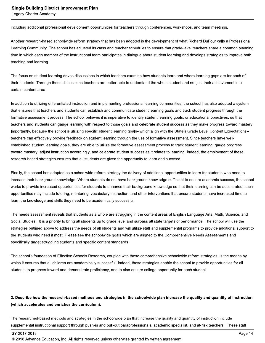including additional professional development opportunities for teachers through conferences, workshops, and team meetings.

Another research-based schoolwide reform strategy that has been adopted is the development of what Richard DuFour calls a Professional Learning Community. The school has adjusted its class and teacher schedules to ensure that grade-level teachers share a common planning time in which each member of the instructional team participates in dialogue about student learning and develops strategies to improve both teaching and learning.

The focus on student learning drives discussions in which teachers examine how students learn and where learning gaps are for each of their students. Through these discussions teachers are better able to understand the whole student and not just their achievement in a certain content area.

In addition to utilizing differentiated instruction and implementing professional learning communities, the school has also adopted a system that ensures that teachers and students can establish and communicate student learning goals and track student progress through the formative assessment process. The school believes it is imperative to identify student learning goals, or educational objectives, so that teachers and students can gauge learning with respect to those goals and celebrate student success as they make progress toward mastery. Importantly, because the school is utilizing specific student learning goals--which align with the State's Grade Level Content Expectations-teachers can effectively provide feedback on student learning through the use of formative assessment. Since teachers have wellestablished student learning goals, they are able to utilize the formative assessment process to track student learning, gauge progress toward mastery, adjust instruction accordingly, and celebrate student success as it relates to learning. Indeed, the employment of these research-based strategies ensures that all students are given the opportunity to learn and succeed.

Finally, the school has adopted as a schoolwide reform strategy the delivery of additional opportunities to learn for students who need to increase their background knowledge. Where students do not have background knowledge sufficient to ensure academic success, the school works to provide increased opportunities for students to enhance their background knowledge so that their learning can be accelerated; such opportunities may include tutoring, mentoring, vocabulary instruction, and other interventions that ensure students have increased time to learn the knowledge and skills they need to be academically successful.

The needs assessment reveals that students as a whole are struggling in the content areas of English Language Arts, Math, Science, and Social Studies. It is a priority to bring all students up to grade level and surpass all state targets of performance. The school will use the strategies outlined above to address the needs of all students and will utilize staff and supplemental programs to provide additional support to the students who need it most. Please see the schoolwide goals which are aligned to the Comprehensive Needs Assessments and specifically target struggling students and specific content standards.

The school's foundation of Effective Schools Research, coupled with these comprehensive schoolwide reform strategies, is the means by which it ensures that all children are academically successful. Indeed, these strategies enable the school to provide opportunities for all students to progress toward and demonstrate proficiency, and to also ensure college opportunity for each student.

### 2. Describe how the research-based methods and strategies in the schoolwide plan increase the quality and quantity of instruction (which accelerates and enriches the curriculum).

The researched-based methods and strategies in the schoolwide plan that increase the quality and quantity of instruction include supplemental instructional support through push-in and pull-out paraprofessionals, academic specialist, and at-risk teachers. These staff

<sup>© 2018</sup> Advance Education, Inc. All rights reserved unless otherwise granted by written agreement.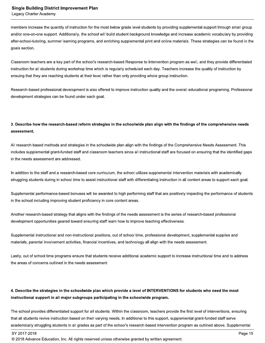members increase the quantity of instruction for the most below grade level students by providing supplemental support through small group and/or one-on-one support. Additionally, the school will build student background knowledge and increase academic vocabulary by providing after-school-tutoring, summer learning programs, and enriching supplemental print and online materials. These strategies can be found in the goals section.

Classroom teachers are a key part of the school's research-based Response to Intervention program as well, and they provide differentiated instruction for all students during workshop time which is regularly scheduled each day. Teachers increase the quality of instruction by ensuing that they are reaching students at their level rather than only providing whole group instruction.

Research-based professional development is also offered to improve instruction quality and the overall educational programing. Professional development strategies can be found under each goal.

## 3. Describe how the research-based reform strategies in the schoolwide plan align with the findings of the comprehensive needs assessment.

All research-based methods and strategies in the schoolwide plan align with the findings of the Comprehensive Needs Assessment. This includes supplemental grant-funded staff and classroom teachers since all instructional staff are focused on ensuring that the identified gaps in the needs assessment are addressed.

In addition to the staff and a research-based core curriculum, the school utilizes supplemental intervention materials with academically struggling students during in school time to assist instructional staff with differentiating instruction in all content areas to support each goal.

Supplemental performance-based bonuses will be awarded to high performing staff that are positively impacting the performance of students in the school including improving student proficiency in core content areas.

Another research-based strategy that aligns with the findings of the needs assessment is the series of research-based professional development opportunities geared toward ensuring staff learn how to improve teaching effectiveness.

Supplemental instructional and non-instructional positions, out of school time, professional development, supplemental supplies and materials, parental involvement activities, financial incentives, and technology all align with the needs assessment.

Lastly, out of school time programs ensure that students receive additional academic support to increase instructional time and to address the areas of concerns outlined in the needs assessment.

## 4. Describe the strategies in the schoolwide plan which provide a level of INTERVENTIONS for students who need the most instructional support in all major subgroups participating in the schoolwide program.

The school provides differentiated support for all students. Within the classroom, teachers provide the first level of interventions, ensuring that all students revive instruction based on their varying needs. In additional to this support, supplemental grant-funded staff serve academically struggling students in all grades as part of the school's research-based intervention program as outlined above. Supplemental

SY 2017-2018

Page 15

<sup>© 2018</sup> Advance Education, Inc. All rights reserved unless otherwise granted by written agreement.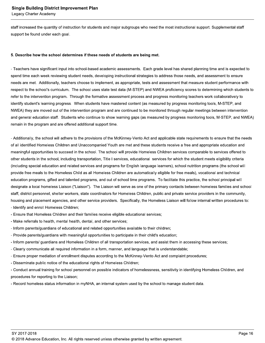staff increased the quantity of instruction for students and major subgroups who need the most instructional support. Supplemental staff support be found under each goal.

#### 5. Describe how the school determines if these needs of students are being met.

- Teachers have significant input into school-based academic assessments. Each grade level has shared planning time and is expected to spend time each week reviewing student needs, developing instructional strategies to address those needs, and assessment to ensure needs are met. Additionally, teachers choose to implement, as appropriate, tests and assessment that measure student performance with respect to the school's curriculum. The school uses state test data (M-STEP) and NWEA proficiency scores to determining which students to refer to the intervention program. Through the formative assessment process and progress monitoring teachers work collaboratively to identify student's learning progress. When students have mastered content (as measured by progress monitoring tools, M-STEP, and NWEA) they are moved out of the intervention program and are continued to be monitored through regular meetings between intervention and general education staff. Students who continue to show learning gaps (as measured by progress monitoring tools, M-STEP, and NWEA) remain in the program and are offered additional support time.

- Additionally, the school will adhere to the provisions of the McKinney-Vento Act and applicable state requirements to ensure that the needs of all identified Homeless Children and Unaccompanied Youth are met and these students receive a free and appropriate education and meaningful opportunities to succeed in the school. The school will provide Homeless Children services comparable to services offered to other students in the school, including transportation, Title I services, educational services for which the student meets eligibility criteria (including special education and related services and programs for English language learners), school nutrition programs (the school will provide free meals to the Homeless Child as all Homeless Children are automatically eligible for free meals), vocational and technical education programs, gifted and talented programs, and out of school time programs. To facilitate this practice, the school principal will designate a local homeless Liaison ("Liaison"). The Liaison will serve as one of the primary contacts between homeless families and school staff, district personnel, shelter workers, state coordinators for Homeless Children, public and private service providers in the community, housing and placement agencies, and other service providers. Specifically, the Homeless Liaison will follow internal written procedures to: - Identify and enroll Homeless Children;

- Ensure that Homeless Children and their families receive eligible educational services;
- Make referrals to health, mental health, dental, and other services;
- Inform parents/guardians of educational and related opportunities available to their children;
- Provide parents/guardians with meaningful opportunities to participate in their child's education;
- Inform parents/ quardians and Homeless Children of all transportation services, and assist them in accessing these services;
- Clearly communicate all required information in a form, manner, and language that is understandable;
- Ensure proper mediation of enrollment disputes according to the McKinney-Vento Act and complaint procedures;
- Disseminate public notice of the educational rights of Homeless Children;

- Conduct annual training for school personnel on possible indicators of homelessness, sensitivity in identifying Homeless Children, and procedures for reporting to the Liaison;

- Record homeless status information in myNHA, an internal system used by the school to manage student data.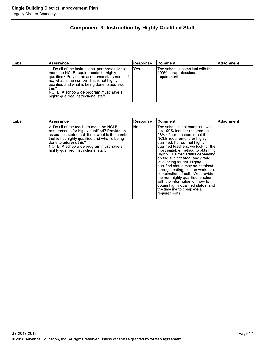## **Component 3: Instruction by Highly Qualified Staff**

| Label | <b>Assurance</b>                                                                                                                                                                                                                                                                                                                        | ∣Response | ⊺Comment                                                                  | ∣Attachment |
|-------|-----------------------------------------------------------------------------------------------------------------------------------------------------------------------------------------------------------------------------------------------------------------------------------------------------------------------------------------|-----------|---------------------------------------------------------------------------|-------------|
|       | 1. Do all of the instructional paraprofessionals<br>meet the NCLB requirements for highly<br> qualified? Provide an assurance statement. If<br>Ino, what is the number that is not highly<br>qualified and what is being done to address<br>this?<br>INOTE: A schoolwide program must have all<br>highly qualified instructional staff. | Yes       | The school is compliant with the<br>100% paraprofessional<br>requirement. |             |

| ∣Label | <b>Assurance</b>                                                                                                                                                                                                                                                                                           | <b>Response</b> | <b>Comment</b>                                                                                                                                                                                                                                                                                                                                                                                                                                                                                                                                                                                                                | Attachment |
|--------|------------------------------------------------------------------------------------------------------------------------------------------------------------------------------------------------------------------------------------------------------------------------------------------------------------|-----------------|-------------------------------------------------------------------------------------------------------------------------------------------------------------------------------------------------------------------------------------------------------------------------------------------------------------------------------------------------------------------------------------------------------------------------------------------------------------------------------------------------------------------------------------------------------------------------------------------------------------------------------|------------|
|        | 2. Do all of the teachers meet the NCLB<br>requirements for highly qualified? Provide an<br>assurance statement. If no, what is the number<br>that is not highly qualified and what is being<br>done to address this?<br>NOTE: A schoolwide program must have all<br>highly qualified instructional staff. | No.             | The school is not compliant with<br>the 100% teacher requirement.<br>98% of our teachers meet the<br>NCLB requirement for highly<br>qualified. For our not highly<br>qualified teachers, we look for the<br>most suitable method to obtaining<br>Highly Qualified status depending<br>on the subject area, and grade<br>level being taught. Highly<br>qualified status may be obtained<br>through testing, course work, or a<br>combination of both. We provide<br>the non-highly qualified teacher<br>with the information on how to<br>obtain highly qualified status, and<br>the timeline to complete all<br>requirements. |            |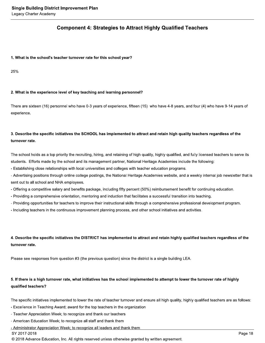## **Component 4: Strategies to Attract Highly Qualified Teachers**

#### 1. What is the school's teacher turnover rate for this school year?

25%

#### 2. What is the experience level of key teaching and learning personnel?

There are sixteen (16) personnel who have 0-3 years of experience, fifteen (15) who have 4-8 years, and four (4) who have 9-14 years of experience.

## 3. Describe the specific initiatives the SCHOOL has implemented to attract and retain high quality teachers regardless of the turnover rate.

The school holds as a top priority the recruiting, hiring, and retaining of high quality, highly qualified, and fully licensed teachers to serve its students. Efforts made by the school and its management partner, National Heritage Academies include the following:

- Establishing close relationships with local universities and colleges with teacher education programs.

- Advertising positions through online college postings, the National Heritage Academies website, and a weekly internal job newsletter that is sent out to all school and NHA employees.

- Offering a competitive salary and benefits package, including fifty percent (50%) reimbursement benefit for continuing education.

- Providing a comprehensive orientation, mentoring and induction that facilitates a successful transition into teaching.

- Providing opportunities for teachers to improve their instructional skills through a comprehensive professional development program.

- Including teachers in the continuous improvement planning process, and other school initiatives and activities.

## 4. Describe the specific initiatives the DISTRICT has implemented to attract and retain highly qualified teachers regardless of the turnover rate.

Please see responses from question #3 (the previous question) since the district is a single building LEA.

## 5. If there is a high turnover rate, what initiatives has the school implemented to attempt to lower the turnover rate of highly qualified teachers?

The specific initiatives implemented to lower the rate of teacher turnover and ensure all high quality, highly qualified teachers are as follows:

- Excellence in Teaching Award; award for the top teachers in the organization
- Teacher Appreciation Week; to recognize and thank our teachers
- American Education Week; to recognize all staff and thank them

- Administrator Appreciation Week; to recognize all leaders and thank them

SY 2017-2018

© 2018 Advance Education, Inc. All rights reserved unless otherwise granted by written agreement.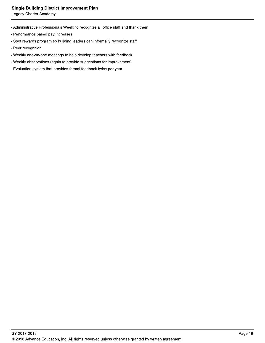#### **Single Building District Improvement Plan**

Legacy Charter Academy

- Administrative Professionals Week; to recognize all office staff and thank them
- Performance based pay increases
- Spot rewards program so building leaders can informally recognize staff
- Peer recognition
- Weekly one-on-one meetings to help develop teachers with feedback
- Weekly observations (again to provide suggestions for improvement)
- Evaluation system that provides formal feedback twice per year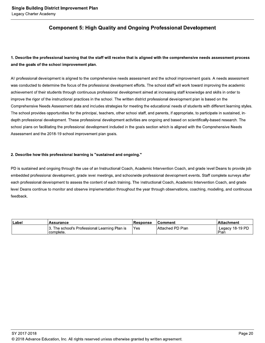## **Component 5: High Quality and Ongoing Professional Development**

## 1. Describe the professional learning that the staff will receive that is aligned with the comprehensive needs assessment process and the goals of the school improvement plan.

All professional development is aligned to the comprehensive needs assessment and the school improvement goals. A needs assessment was conducted to determine the focus of the professional development efforts. The school staff will work toward improving the academic achievement of their students through continuous professional development aimed at increasing staff knowledge and skills in order to improve the rigor of the instructional practices in the school. The written district professional development plan is based on the Comprehensive Needs Assessment data and includes strategies for meeting the educational needs of students with different learning styles. The school provides opportunities for the principal, teachers, other school staff, and parents, if appropriate, to participate in sustained, indepth professional development. These professional development activities are ongoing and based on scientifically-based research. The school plans on facilitating the professional development included in the goals section which is aligned with the Comprehensive Needs Assessment and the 2018-19 school improvement plan goals.

#### 2. Describe how this professional learning is "sustained and ongoing."

PD is sustained and ongoing through the use of an Instructional Coach, Academic Intervention Coach, and grade level Deans to provide job embedded professional development, grade level meetings, and schoolwide professional development events. Staff complete surveys after each professional development to assess the content of each training. The Instructional Coach, Academic Intervention Coach, and grade level Deans continue to monitor and observe implementation throughout the year through observations, coaching, modeling, and continuous feedback.

| ∣Label | <b>Assurance</b>                                           | <b>Response</b> | ⊺Comment                 | ∣Attachment             |
|--------|------------------------------------------------------------|-----------------|--------------------------|-------------------------|
|        | 3. The school's Professional Learning Plan is<br>complete. | 'Yes            | <b>IAttached PD Plan</b> | Legacy 18-19 PD<br>Plan |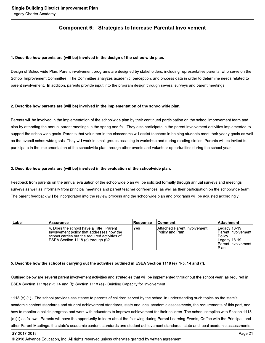### **Component 6: Strategies to Increase Parental Involvement**

#### 1. Describe how parents are (will be) involved in the design of the schoolwide plan.

Design of Schoolwide Plan: Parent involvement programs are designed by stakeholders, including representative parents, who serve on the School Improvement Committee. The Committee analyzes academic, perception, and process data in order to determine needs related to parent involvement. In addition, parents provide input into the program design through several surveys and parent meetings.

#### 2. Describe how parents are (will be) involved in the implementation of the schoolwide plan.

Parents will be involved in the implementation of the schoolwide plan by their continued participation on the school improvement team and also by attending the annual parent meetings in the spring and fall. They also participate in the parent involvement activities implemented to support the schoolwide goals. Parents that volunteer in the classrooms will assist teachers in helping students meet their yearly goals as well as the overall schoolwide goals. They will work in small groups assisting in workshop and during reading circles. Parents will be invited to participate in the implementation of the schoolwide plan through other events and volunteer opportunities during the school year.

#### 3. Describe how parents are (will be) involved in the evaluation of the schoolwide plan.

Feedback from parents on the annual evaluation of the schoolwide plan will be solicited formally through annual surveys and meetings surveys as well as informally from principal meetings and parent teacher conferences, as well as their participation on the schoolwide team. The parent feedback will be incorporated into the review process and the schoolwide plan and programs will be adjusted accordingly.

| Label | <b>Assurance</b>                                                                                                                                                              | <b>Response</b> | ⊺Comment                                              | <b>Attachment</b>                                                                                  |
|-------|-------------------------------------------------------------------------------------------------------------------------------------------------------------------------------|-----------------|-------------------------------------------------------|----------------------------------------------------------------------------------------------------|
|       | 14. Does the school have a Title I Parent<br>Involvement policy that addresses how the<br>school carries out the required activities of<br>ESEA Section 1118 (c) through (f)? | 'Yes            | <b>Attached Parent Involvement</b><br>Policy and Plan | Legacy 18-19<br>Parent Involvement<br>Policy<br>ILegacy 18-19<br><b>Parent Involvement</b><br>Plan |

#### 5. Describe how the school is carrying out the activities outlined in ESEA Section 1118 (e) 1-5, 14 and (f).

Outlined below are several parent involvement activities and strategies that will be implemented throughout the school year, as required in ESEA Section 1118(e)1-5,14 and (f): Section 1118 (e) - Building Capacity for Involvement.

1118 (e) (1) - The school provides assistance to parents of children served by the school in understanding such topics as the state's academic content standards and student achievement standards, state and local academic assessments, the requirements of this part, and how to monitor a child's progress and work with educators to improve achievement for their children. The school complies with Section 1118 (e)(1) as follows: Parents will have the opportunity to learn about the following during Parent Learning Events, Coffee with the Principal, and other Parent Meetings: the state's academic content standards and student achievement standards, state and local academic assessments,

SY 2017-2018

© 2018 Advance Education, Inc. All rights reserved unless otherwise granted by written agreement.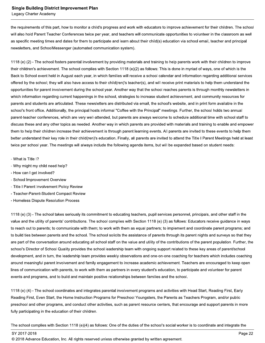the requirements of this part, how to monitor a child's progress and work with educators to improve achievement for their children. The school will also hold Parent Teacher Conferences twice per year, and teachers will communicate opportunities to volunteer in the classroom as well as specific meeting times and dates for them to participate and learn about their child(s) education via school email, teacher and principal newsletters, and SchoolMessenger (automated communication system).

1118 (e) (2) - The school fosters parental involvement by providing materials and training to help parents work with their children to improve their children's achievement. The school complies with Section 1118 (e)(2) as follows: This is done in myriad of ways, one of which is the Back to School event held in August each year, in which families will receive a school calendar and information regarding additional services offered by the school; they will also have access to their child(ren)'s teacher(s), and will receive print materials to help them understand the opportunities for parent involvement during the school year. Another way that the school reaches parents is through monthly newsletters in which information regarding current happenings in the school, strategies to increase student achievement, and community resources for parents and students are articulated. These newsletters are distributed via email, the school's website, and in print form available in the school's front office. Additionally, the principal hosts informal "Coffee with the Principal" meetings. Further, the school holds two annual parent-teacher conferences, which are very well-attended, but parents are always welcome to schedule additional time with school staff to discuss these and any other topics as needed. Another way in which parents are provided with materials and training to enable and empower them to help their children increase their achievement is through parent learning events. All parents are invited to these events to help them better understand their key role in their child(ren)'s education. Finally, all parents are invited to attend the Title I Parent Meetings held at least twice per school year. The meetings will always include the following agenda items, but will be expanded based on student needs:

- What is Title I?
- Why might my child need help?
- How can I get involved?
- School Improvement Overview
- Title I Parent Involvement Policy Review
- Teacher-Parent-Student Compact Review
- Homeless Dispute Resolution Process

1118 (e) (3) - The school takes seriously its commitment to educating teachers, pupil services personnel, principals, and other staff in the value and the utility of parents' contributions. The school complies with Section 1118 (e) (3) as follows: Educators receive guidance in ways to reach out to parents; to communicate with them; to work with them as equal partners; to implement and coordinate parent programs; and to build ties between parents and the school. The school solicits the assistance of parents through its parent nights and surveys so that they are part of the conversation around educating all school staff on the value and utility of the contributions of the parent population. Further, the school's Director of School Quality provides the school leadership team with ongoing support related to these key areas of parent/school development, and in turn, the leadership team provides weekly observations and one-on-one coaching for teachers which includes coaching around meaningful parent involvement and family engagement to increase academic achievement. Teachers are encouraged to keep open lines of communication with parents, to work with them as partners in every student's education, to participate and volunteer for parent events and programs, and to build and maintain positive relationships between families and the school.

1118 (e) (4) - The school coordinates and integrates parental involvement programs and activities with Head Start, Reading First, Early Reading First, Even Start, the Home Instruction Programs for Preschool Youngsters, the Parents as Teachers Program, and/or public preschool and other programs, and conduct other activities, such as parent resource centers, that encourage and support parents in more fully participating in the education of their children.

The school complies with Section 1118 (e)(4) as follows: One of the duties of the school's social worker is to coordinate and integrate the

SY 2017-2018

© 2018 Advance Education, Inc. All rights reserved unless otherwise granted by written agreement.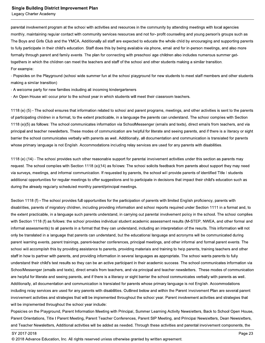parental involvement program at the school with activities and resources in the community by attending meetings with local agencies monthly, maintaining regular contact with community services resources and not for-profit counseling and young person's groups such as The Boys and Girls Club and the YMCA. Additionally all staff are expected to educate the whole child by encouraging and supporting parents to fully participate in their child's education. Staff does this by being available via phone, email and for in-person meetings, and also more formally through parent and family events. The plan for connecting with preschool age children also includes numerous summer gettogethers in which the children can meet the teachers and staff of the school and other students making a similar transition. For example:

- Popsicles on the Playground (school wide summer fun at the school playground for new students to meet staff members and other students making a similar transition)

- A welcome party for new families including all incoming kindergarteners

- An Open House will occur prior to the school year in which students will meet their classroom teachers.

1118 (e) (5) - The school ensures that information related to school and parent programs, meetings, and other activities is sent to the parents of participating children in a format, to the extent practicable, in a language the parents can understand. The school complies with Section 1118 (e)(5) as follows: The school communicates information via SchoolMessenger (emails and texts), direct emails from teachers, and via principal and teacher newsletters. These modes of communication are helpful for literate and seeing parents, and if there is a literacy or sight barrier the school communicates verbally with parents as well. Additionally, all documentation and communication is translated for parents whose primary language is not English. Accommodations including relay services are used for any parents with disabilities.

1118 (e) (14) - The school provides such other reasonable support for parental involvement activities under this section as parents may request. The school complies with Section 1118 (e)(14) as follows: The school solicits feedback from parents about support they may need via surveys, meetings, and informal communication. If requested by parents, the school will provide parents of identified Title I students additional opportunities for regular meetings to offer suggestions and to participate in decisions that impact their child's education such as during the already regularly scheduled monthly parent/principal meetings.

Section 1118 (f) - The school provides full opportunities for the participation of parents with limited English proficiency, parents with disabilities, parents of migratory children, including providing information and school reports required under Section 1111 in a format and, to the extent practicable, in a language such parents understand, in carrying out parental involvement policy in the school. The school complies with Section 1118 (f) as follows: the school provides individual student academic assessment results (M-STEP, NWEA, and other formal and informal assessments) to all parents in a format that they can understand, including an interpretation of the results. This information will not only be translated in a language that parents can understand, but the educational language and acronyms will be communicated during parent learning events, parent trainings, parent-teacher conferences, principal meetings, and other informal and formal parent events. The school will accomplish this by providing assistance to parents, providing materials and training to help parents, training teachers and other staff in how to partner with parents, and providing information in several languages as appropriate. The school wants parents to fully understand their child's test results so they can be an active participant in their academic success. The school communicates information via SchoolMessenger (emails and texts), direct emails from teachers, and via principal and teacher newsletters. These modes of communication are helpful for literate and seeing parents, and if there is a literacy or sight barrier the school communicates verbally with parents as well. Additionally, all documentation and communication is translated for parents whose primary language is not English. Accommodations including relay services are used for any parents with disabilities. Outlined below and within the Parent Involvement Plan are several parent involvement activities and strategies that will be implemented throughout the school year. Parent involvement activities and strategies that will be implemented throughout the school year include:

Popsicles on the Playground, Parent Information Meeting with Principal, Summer Learning Activity Newsletters, Back to School Open House, Parent Orientations, Title I Parent Meeting, Parent Teacher Conferences, Parent SIP Meeting, and Principal Newsletters, Dean Newsletters, and Teacher Newsletters, Additional activities will be added as needed. Through these activities and parental involvement components, the

SY 2017-2018

<sup>© 2018</sup> Advance Education, Inc. All rights reserved unless otherwise granted by written agreement.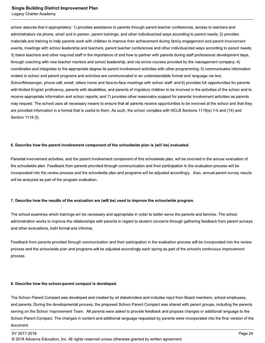#### **Single Building District Improvement Plan**

Legacy Charter Academy

school assures that it appropriately: 1) provides assistance to parents through parent teacher conferences, access to teachers and administrators via phone, email and in person, parent trainings, and other individualized ways according to parent needs; 2) provides materials and training to help parents work with children to improve their achievement during family engagement and parent involvement events, meetings with school leadership and teachers, parent teacher conferences and other individualized ways according to parent needs; 3) trains teachers and other required staff in the importance of and how to partner with parents during staff professional development days, through coaching with new teacher mentors and school leadership, and via online courses provided by the management company; 4) coordinates and integrates to the appropriate degree its parent involvement activities with other programming; 5) communicates information related to school and parent programs and activities are communicated in an understandable format and language via text, SchoolMessenger, phone call, email, letters home and face-to-face meetings with school staff; and 6) provides full opportunities for parents with limited English proficiency, parents with disabilities, and parents of migratory children to be involved in the activities of the school and to receive appropriate information and school reports; and 7) provides other reasonable support for parental involvement activities as parents may request. The school uses all necessary means to ensure that all parents receive opportunities to be involved at the school and that they are provided information in a format that is useful to them. As such, the school complies with NCLB Sections 1118(e) 1-5 and (14) and Section 1118 (f).

#### 6. Describe how the parent involvement component of the schoolwide plan is (will be) evaluated.

Parental involvement activities, and the parent involvement component of this schoolwide plan, will be involved in the annual evaluation of the schoolwide plan. Feedback from parents provided through communication and their participation in the evaluation process will be incorporated into the review process and the schoolwide plan and programs will be adjusted accordingly. Also, annual parent survey results will be analyzed as part of the program evaluation.

#### 7. Describe how the results of the evaluation are (will be) used to improve the schoolwide program.

The school examines which trainings will be necessary and appropriate in order to better serve the parents and families. The school administration works to improve the relationships with parents in regard to student concerns through gathering feedback from parent surveys and other evaluations, both formal and informal.

Feedback from parents provided through communication and their participation in the evaluation process will be incorporated into the review process and the schoolwide plan and programs will be adjusted accordingly each spring as part of the school's continuous improvement process.

#### 8. Describe how the school-parent compact is developed.

The School-Parent Compact was developed and created by all stakeholders and includes input from Board members, school employees, and parents. During the developmental process, the proposed School-Parent Compact was shared with parent groups, including the parents serving on the School Improvement Team. All parents were asked to provide feedback and propose changes or additional language to the School-Parent Compact. The changes in content and additional language requested by parents were incorporated into the final version of the document.

<sup>© 2018</sup> Advance Education, Inc. All rights reserved unless otherwise granted by written agreement.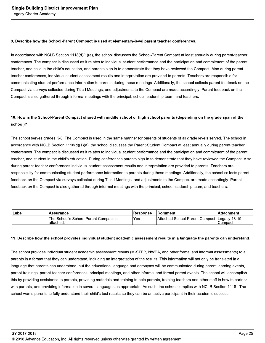#### 9. Describe how the School-Parent Compact is used at elementary-level parent teacher conferences.

In accordance with NCLB Section 1118(d)(1)(a), the school discusses the School-Parent Compact at least annually during parent-teacher conferences. The compact is discussed as it relates to individual student performance and the participation and commitment of the parent, teacher, and child in the child's education, and parents sign in to demonstrate that they have reviewed the Compact. Also during parentteacher conferences, individual student assessment results and interpretation are provided to parents. Teachers are responsible for communicating student performance information to parents during these meetings. Additionally, the school collects parent feedback on the Compact via surveys collected during Title I Meetings, and adjustments to the Compact are made accordingly. Parent feedback on the Compact is also gathered through informal meetings with the principal, school leadership team, and teachers.

## 10. How is the School-Parent Compact shared with middle school or high school parents (depending on the grade span of the school)?

The school serves grades K-8. The Compact is used in the same manner for parents of students of all grade levels served. The school in accordance with NCLB Section 1118(d)(1)(a), the school discusses the Parent-Student Compact at least annually during parent-teacher conferences. The compact is discussed as it relates to individual student performance and the participation and commitment of the parent, teacher, and student in the child's education. During conferences parents sign-in to demonstrate that they have reviewed the Compact. Also during parent-teacher conferences individual student assessment results and interpretation are provided to parents. Teachers are responsibility for communicating student performance information to parents during these meetings. Additionally, the school collects parent feedback on the Compact via surveys collected during Title I Meetings, and adjustments to the Compact are made accordingly. Parent feedback on the Compact is also gathered through informal meetings with the principal, school leadership team, and teachers.

| ∣Labei | <b>Assurance</b>                                    | Response | ⊺Comment                                      | ⊺Attachment |
|--------|-----------------------------------------------------|----------|-----------------------------------------------|-------------|
|        | The School's School-Parent Compact is<br>'attached. | Yes:     | Attached School-Parent Compact   Legacy 18-19 | Compact     |

#### 11. Describe how the school provides individual student academic assessment results in a language the parents can understand.

The school provides individual student academic assessment results (M-STEP, NWEA, and other formal and informal assessments) to all parents in a format that they can understand, including an interpretation of the results. This information will not only be translated in a language that parents can understand, but the educational language and acronyms will be communicated during parent learning events, parent trainings, parent-teacher conferences, principal meetings, and other informal and formal parent events. The school will accomplish this by providing assistance to parents, providing materials and training to help parents, training teachers and other staff in how to partner with parents, and providing information in several languages as appropriate. As such, the school complies with NCLB Section 1118. The school wants parents to fully understand their child's test results so they can be an active participant in their academic success.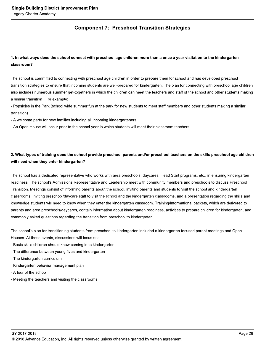## **Component 7: Preschool Transition Strategies**

## 1. In what ways does the school connect with preschool age children more than a once a year visitation to the kindergarten classroom?

The school is committed to connecting with preschool age children in order to prepare them for school and has developed preschool transition strategies to ensure that incoming students are well-prepared for kindergarten. The plan for connecting with preschool age children also includes numerous summer get-togethers in which the children can meet the teachers and staff of the school and other students making a similar transition. For example:

- Popsicles in the Park (school wide summer fun at the park for new students to meet staff members and other students making a similar transition)

- A welcome party for new families including all incoming kindergarteners

- An Open House will occur prior to the school year in which students will meet their classroom teachers.

## 2. What types of training does the school provide preschool parents and/or preschool teachers on the skills preschool age children will need when they enter kindergarten?

The school has a dedicated representative who works with area preschools, daycares, Head Start programs, etc., in ensuring kindergarten readiness. The school's Admissions Representative and Leadership meet with community members and preschools to discuss Preschool Transition. Meetings consist of informing parents about the school, inviting parents and students to visit the school and kindergarten classrooms, inviting preschool/daycare staff to visit the school and the kindergarten classrooms, and a presentation regarding the skills and knowledge students will need to know when they enter the kindergarten classroom. Training/informational packets, which are delivered to parents and area preschools/daycares, contain information about kindergarten readiness, activities to prepare children for kindergarten, and commonly asked questions regarding the transition from preschool to kindergarten.

The school's plan for transitioning students from preschool to kindergarten included a kindergarten focused parent meetings and Open Houses. At these events, discussions will focus on:

- Basic skills children should know coming in to kindergarten
- The difference between young fives and kindergarten
- The kindergarten curriculum
- Kindergarten behavior management plan
- A tour of the school
- Meeting the teachers and visiting the classrooms.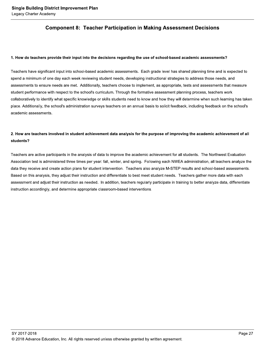## **Component 8: Teacher Participation in Making Assessment Decisions**

#### 1. How do teachers provide their input into the decisions regarding the use of school-based academic assessments?

Teachers have significant input into school-based academic assessments. Each grade level has shared planning time and is expected to spend a minimum of one day each week reviewing student needs, developing instructional strategies to address those needs, and assessments to ensure needs are met. Additionally, teachers choose to implement, as appropriate, tests and assessments that measure student performance with respect to the school's curriculum. Through the formative assessment planning process, teachers work collaboratively to identify what specific knowledge or skills students need to know and how they will determine when such learning has taken place. Additionally, the school's administration surveys teachers on an annual basis to solicit feedback, including feedback on the school's academic assessments.

## 2. How are teachers involved in student achievement data analysis for the purpose of improving the academic achievement of all students?

Teachers are active participants in the analysis of data to improve the academic achievement for all students. The Northwest Evaluation Association test is administered three times per year: fall, winter, and spring. Following each NWEA administration, all teachers analyze the data they receive and create action plans for student intervention. Teachers also analyze M-STEP results and school-based assessments. Based on this analysis, they adjust their instruction and differentiate to best meet student needs. Teachers gather more data with each assessment and adjust their instruction as needed. In addition, teachers regularly participate in training to better analyze data, differentiate instruction accordingly, and determine appropriate classroom-based interventions.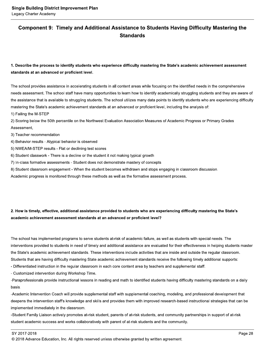## Component 9: Timely and Additional Assistance to Students Having Difficulty Mastering the **Standards**

## 1. Describe the process to identify students who experience difficulty mastering the State's academic achievement assessment standards at an advanced or proficient level.

The school provides assistance in accelerating students in all content areas while focusing on the identified needs in the comprehensive needs assessment. The school staff have many opportunities to learn how to identify academically struggling students and they are aware of the assistance that is available to struggling students. The school utilizes many data points to identify students who are experiencing difficulty mastering the State's academic achievement standards at an advanced or proficient level, including the analysis of:

1) Failing the M-STEP

2) Scoring below the 50th percentile on the Northwest Evaluation Association Measures of Academic Progress or Primary Grades Assessment,

3) Teacher recommendation

4) Behavior results - Atypical behavior is observed

5) NWEA/M-STEP results - Flat or declining test scores

6) Student classwork - There is a decline or the student it not making typical growth

7) In-class formative assessments - Student does not demonstrate mastery of concepts

8) Student classroom engagement - When the student becomes withdrawn and stops engaging in classroom discussion.

Academic progress is monitored through these methods as well as the formative assessment process.

## 2. How is timely, effective, additional assistance provided to students who are experiencing difficulty mastering the State's academic achievement assessment standards at an advanced or proficient level?

The school has implemented programs to serve students at-risk of academic failure, as well as students with special needs. The interventions provided to students in need of timely and additional assistance are evaluated for their effectiveness in helping students master the State's academic achievement standards. These interventions include activities that are inside and outside the regular classroom. Students that are having difficulty mastering State academic achievement standards receive the following timely additional supports:

- Differentiated instruction in the regular classroom in each core content area by teachers and supplemental staff.

- Customized intervention during Workshop Time.

-Paraprofessionals provide instructional lessons in reading and math to identified students having difficulty mastering standards on a daily basis.

-Academic Intervention Coach will provide supplemental staff with supplemental coaching, modeling, and professional development that deepens the intervention staff's knowledge and skills and provides them with improved research-based instructional strategies that can be implemented immediately in the classroom.

-Student Family Liaison actively promotes at-risk student, parents of at-risk students, and community partnerships in support of at-risk student academic success and works collaboratively with parent of at-risk students and the community.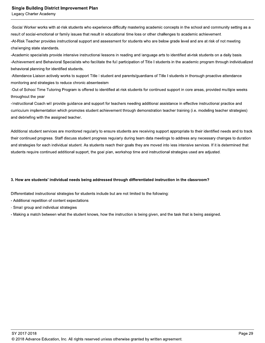#### **Single Building District Improvement Plan**

Legacy Charter Academy

-Social Worker works with at-risk students who experience difficulty mastering academic concepts in the school and community setting as a result of social-emotional or family issues that result in educational time loss or other challenges to academic achievement. -At-Risk Teacher provides instructional support and assessment for students who are below grade level and are at risk of not meeting challenging state standards.

-Academic specialists provide intensive instructional lessons in reading and language arts to identified at-risk students on a daily basis. -Achievement and Behavioral Specialists who facilitate the full participation of Title I students in the academic program through individualized behavioral planning for identified students.

-Attendance Liaison actively works to support Title I student and parents/guardians of Title I students in thorough proactive attendance monitoring and strategies to reduce chronic absenteeism

-Out of School Time Tutoring Program is offered to identified at-risk students for continued support in core areas, provided multiple weeks throughout the year

-Instructional Coach will provide guidance and support for teachers needing additional assistance in effective instructional practice and curriculum implementation which promotes student achievement through demonstration teacher training (i.e. modeling teacher strategies) and debriefing with the assigned teacher.

Additional student services are monitored regularly to ensure students are receiving support appropriate to their identified needs and to track their continued progress. Staff discuss student progress regularly during team data meetings to address any necessary changes to duration and strategies for each individual student. As students reach their goals they are moved into less intensive services. If it is determined that students require continued additional support, the goal plan, workshop time and instructional strategies used are adjusted.

#### 3. How are students' individual needs being addressed through differentiated instruction in the classroom?

Differentiated instructional strategies for students include but are not limited to the following:

- Additional repetition of content expectations
- Small group and individual strategies
- Making a match between what the student knows, how the instruction is being given, and the task that is being assigned.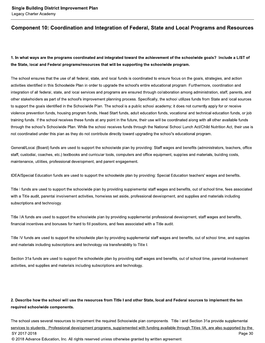## Component 10: Coordination and Integration of Federal, State and Local Programs and Resources

## 1. In what ways are the programs coordinated and integrated toward the achievement of the schoolwide goals? Include a LIST of the State, local and Federal programs/resources that will be supporting the schoolwide program.

The school ensures that the use of all federal, state, and local funds is coordinated to ensure focus on the goals, strategies, and action activities identified in this Schoolwide Plan in order to upgrade the school's entire educational program. Furthermore, coordination and integration of all federal, state, and local services and programs are ensured through collaboration among administration, staff, parents, and other stakeholders as part of the school's improvement planning process. Specifically, the school utilizes funds from State and local sources to support the goals identified in the Schoolwide Plan. The school is a public school academy; it does not currently apply for or receive violence prevention funds, housing program funds, Head Start funds, adult education funds, vocational and technical education funds, or job training funds. If the school receives these funds at any point in the future, their use will be coordinated along with all other available funds through the school's Schoolwide Plan. While the school receives funds through the National School Lunch Act/Child Nutrition Act, their use is not coordinated under this plan as they do not contribute directly toward upgrading the school's educational program.

General/Local (Board) funds are used to support the schoolwide plan by providing: Staff wages and benefits (administrators, teachers, office staff, custodial, coaches, etc.) textbooks and curricular tools, computers and office equipment, supplies and materials, building costs, maintenance, utilities, professional development, and parent engagement.

IDEA/Special Education funds are used to support the schoolwide plan by providing: Special Education teachers' wages and benefits.

Title I funds are used to support the schoolwide plan by providing supplemental staff wages and benefits, out of school time, fees associated with a Title audit, parental involvement activities, homeless set aside, professional development, and supplies and materials including subscriptions and technology.

Title IIA funds are used to support the schoolwide plan by providing supplemental professional development, staff wages and benefits, financial incentives and bonuses for hard to fill positions, and fees associated with a Title audit.

Title IV funds are used to support the schoolwide plan by providing supplemental staff wages and benefits, out of school time, and supplies and materials including subscriptions and technology via transferability to Title I.

Section 31a funds are used to support the schoolwide plan by providing staff wages and benefits, out of school time, parental involvement activities, and supplies and materials including subscriptions and technology.

## 2. Describe how the school will use the resources from Title I and other State, local and Federal sources to implement the ten required schoolwide components.

The school uses several resources to implement the required Schoolwide plan components. Title I and Section 31a provide supplemental services to students. Professional development programs, supplemented with funding available through Titles IIA, are also supported by the SY 2017-2018 Page 30 © 2018 Advance Education, Inc. All rights reserved unless otherwise granted by written agreement.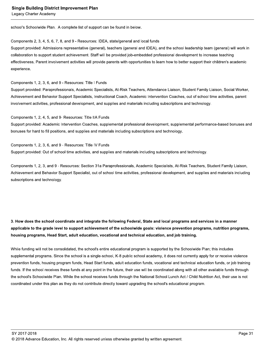#### **Single Building District Improvement Plan**

Legacy Charter Academy

school's Schoolwide Plan. A complete list of support can be found in below.

#### Components 2, 3, 4, 5, 6, 7, 8, and 9 - Resources: IDEA, state/general and local funds

Support provided: Admissions representative (general), teachers (general and IDEA), and the school leadership team (general) will work in collaboration to support student achievement. Staff will be provided job-embedded professional development to increase teaching effectiveness. Parent involvement activities will provide parents with opportunities to learn how to better support their children's academic experience.

Components 1, 2, 3, 6, and 9 - Resources: Title I Funds

Support provided: Paraprofessionals, Academic Specialists, At-Risk Teachers, Attendance Liaison, Student Family Liaison, Social Worker, Achievement and Behavior Support Specialists, Instructional Coach, Academic Intervention Coaches, out of school time activities, parent involvement activities, professional development, and supplies and materials including subscriptions and technology.

#### Components 1, 2, 4, 5, and 9- Resources: Title IIA Funds

Support provided: Academic Intervention Coaches, supplemental professional development, supplemental performance-based bonuses and bonuses for hard to fill positions, and supplies and materials including subscriptions and technology.

#### Components 1, 2, 3, 6, and 9 - Resources: Title IV Funds

Support provided: Out of school time activities, and supplies and materials including subscriptions and technology.

Components 1, 2, 3, and 9 - Resources: Section 31a Paraprofessionals, Academic Specialists, At-Risk Teachers, Student Family Liaison, Achievement and Behavior Support Specialist, out of school time activities, professional development, and supplies and materials including subscriptions and technology.

## 3. How does the school coordinate and integrate the following Federal, State and local programs and services in a manner applicable to the grade level to support achievement of the schoolwide goals: violence prevention programs, nutrition programs, housing programs, Head Start, adult education, vocational and technical education, and job training.

While funding will not be consolidated, the school's entire educational program is supported by the Schoolwide Plan; this includes supplemental programs. Since the school is a single-school, K-8 public school academy, it does not currently apply for or receive violence prevention funds, housing program funds, Head Start funds, adult education funds, vocational and technical education funds, or job training funds. If the school receives these funds at any point in the future, their use will be coordinated along with all other available funds through the school's Schoolwide Plan. While the school receives funds through the National School Lunch Act / Child Nutrition Act, their use is not coordinated under this plan as they do not contribute directly toward upgrading the school's educational program.